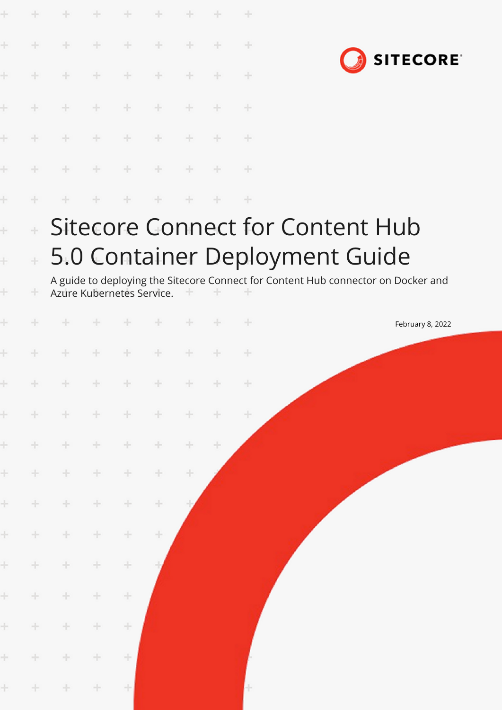|       |        | ÷.     | ÷     | ÷      |                           |        |     | ÷             |                                                                                   |
|-------|--------|--------|-------|--------|---------------------------|--------|-----|---------------|-----------------------------------------------------------------------------------|
| ÷     | ÷      | $+$    | ÷     | ÷      | $\div$                    |        |     | $\pm$         |                                                                                   |
|       | ÷      | ÷      | ÷     | ÷      | ÷                         |        |     | ÷             | <b>SITECORE</b>                                                                   |
| Ł     |        | $\div$ | ÷     | ÷      | ÷                         | ÷      |     | $+$           |                                                                                   |
|       |        | ÷      | ÷     | $+$    | $\div$                    | ÷      |     | $+$           |                                                                                   |
|       |        |        | ÷     | ÷      | ÷                         | ÷      |     | $\rightarrow$ |                                                                                   |
| ł     |        |        |       |        | ÷                         |        |     | ÷             |                                                                                   |
| ł     |        |        |       |        |                           |        |     |               | Sitecore Connect for Content Hub                                                  |
| ł     |        |        |       |        |                           |        |     |               | 5.0 Container Deployment Guide                                                    |
| ÷     | ÷      |        |       |        | Azure Kubernetes Service. |        |     |               | A guide to deploying the Sitecore Connect for Content Hub connector on Docker and |
|       |        |        |       |        |                           |        |     | ÷             | February 8, 2022                                                                  |
| ł     |        |        |       | ÷      | ÷                         |        |     | ÷             |                                                                                   |
|       | $+$    |        |       |        | + + + + + +               |        |     | $+$           |                                                                                   |
| ÷.    | $\pm$  | $\pm$  | $+$   | $\pm$  | $\pm$                     | $+$    | $+$ | $\div$        |                                                                                   |
| $\pm$ | $+$    | ÷      | $+$   | ÷      | ÷                         | $+ \,$ | ÷   |               |                                                                                   |
| ÷.    | $+ \,$ | ÷      | ÷.    | $\div$ | ÷                         | $\pm$  |     |               |                                                                                   |
| $\pm$ | $\div$ | $\div$ | ÷.    | $\div$ | $\div$                    |        |     |               |                                                                                   |
| ÷     | $\pm$  | ÷      | ÷.    | $\div$ | ÷                         |        |     |               |                                                                                   |
| ÷.    | ÷      | $\div$ | ÷     | $\div$ |                           |        |     |               |                                                                                   |
| ÷.    | $+$    | $\div$ | ÷     | $\div$ |                           |        |     |               |                                                                                   |
| $\pm$ | ÷      | ÷      | $\pm$ | ÷      |                           |        |     |               |                                                                                   |
| ÷.    | $\pm$  | ÷      | $\pm$ | ÷      |                           |        |     |               |                                                                                   |
| $\pm$ | ÷      | $\pm$  | $\pm$ | ÷      |                           |        |     |               |                                                                                   |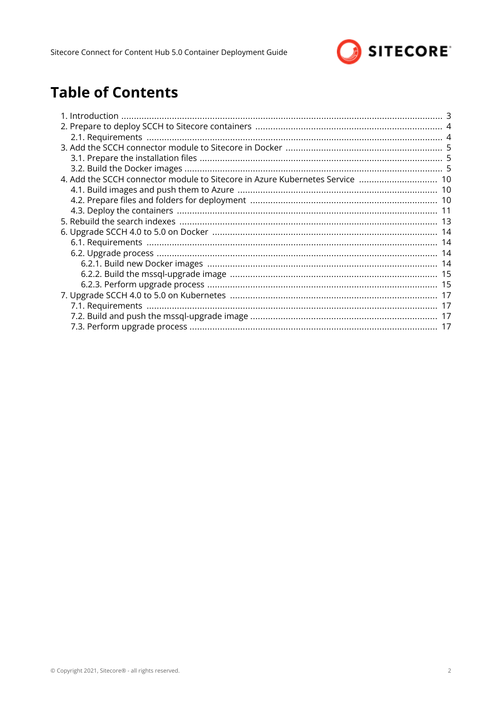

# **Table of Contents**

| 4. Add the SCCH connector module to Sitecore in Azure Kubernetes Service  10 |  |
|------------------------------------------------------------------------------|--|
|                                                                              |  |
|                                                                              |  |
|                                                                              |  |
|                                                                              |  |
|                                                                              |  |
|                                                                              |  |
|                                                                              |  |
|                                                                              |  |
|                                                                              |  |
|                                                                              |  |
|                                                                              |  |
|                                                                              |  |
|                                                                              |  |
|                                                                              |  |
|                                                                              |  |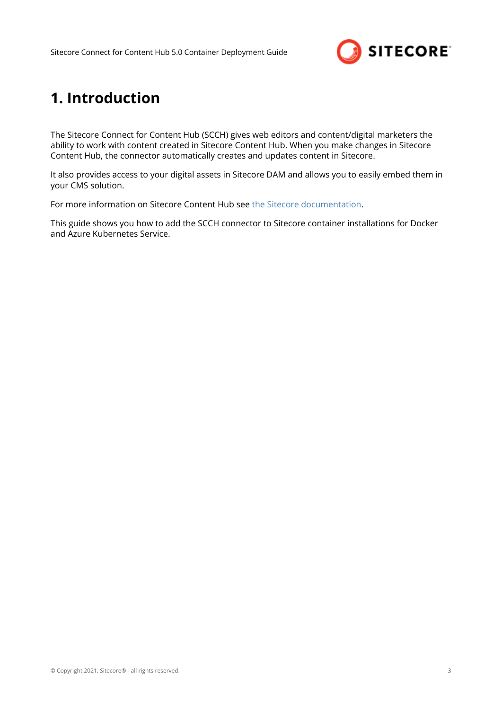

# <span id="page-2-0"></span>**1. Introduction**

The Sitecore Connect for Content Hub (SCCH) gives web editors and content/digital marketers the ability to work with content created in Sitecore Content Hub. When you make changes in Sitecore Content Hub, the connector automatically creates and updates content in Sitecore.

It also provides access to your digital assets in Sitecore DAM and allows you to easily embed them in your CMS solution.

For more information on Sitecore Content Hub see [the Sitecore documentation.](https://doc.sitecore.com/en/content-hub/index.html)

This guide shows you how to add the SCCH connector to Sitecore container installations for Docker and Azure Kubernetes Service.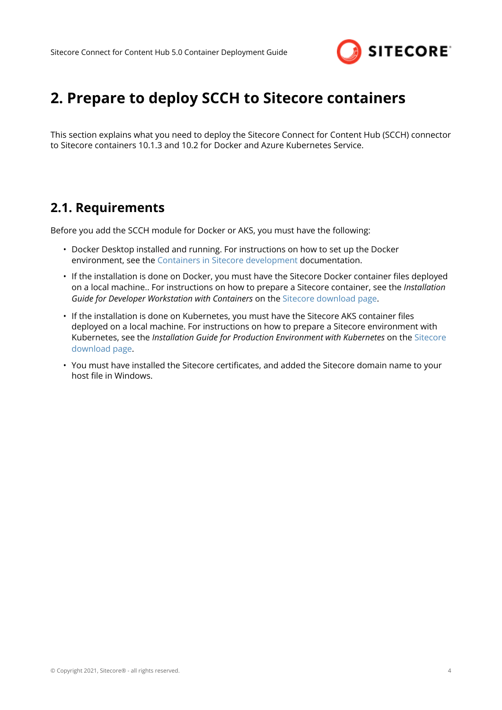

# <span id="page-3-0"></span>**2. Prepare to deploy SCCH to Sitecore containers**

This section explains what you need to deploy the Sitecore Connect for Content Hub (SCCH) connector to Sitecore containers 10.1.3 and 10.2 for Docker and Azure Kubernetes Service.

### **2.1. Requirements**

Before you add the SCCH module for Docker or AKS, you must have the following:

- Docker Desktop installed and running. For instructions on how to set up the Docker environment, see the [Containers in Sitecore development](https://doc.sitecore.com/developers/102/developer-tools/en/set-up-the-environment.html) documentation.
- If the installation is done on Docker, you must have the Sitecore Docker container files deployed on a local machine.. For instructions on how to prepare a Sitecore container, see the *Installation Guide for Developer Workstation with Containers* on the [Sitecore download page](https://dev.sitecore.net/Downloads/Sitecore_Experience_Platform.aspx).
- If the installation is done on Kubernetes, you must have the Sitecore AKS container files deployed on a local machine. For instructions on how to prepare a Sitecore environment with Kubernetes, see the *Installation Guide for Production Environment with Kubernetes* on the [Sitecore](https://dev.sitecore.net/Downloads/Sitecore_Experience_Platform.aspx) [download page.](https://dev.sitecore.net/Downloads/Sitecore_Experience_Platform.aspx)
- You must have installed the Sitecore certificates, and added the Sitecore domain name to your host file in Windows.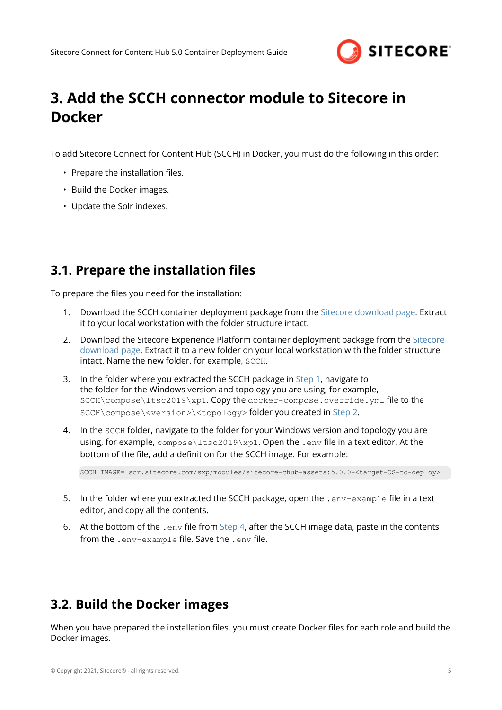

# <span id="page-4-0"></span>**3. Add the SCCH connector module to Sitecore in Docker**

To add Sitecore Connect for Content Hub (SCCH) in Docker, you must do the following in this order:

- Prepare the installation files.
- Build the Docker images.
- Update the Solr indexes.

## **3.1. Prepare the installation files**

To prepare the files you need for the installation:

- 1. Download the SCCH container deployment package from the [Sitecore download page.](https://dev.sitecore.net/Downloads/Sitecore_Connect_for_Content_Hub.aspx) Extract it to your local workstation with the folder structure intact.
- 2. Download the Sitecore Experience Platform container deployment package from the [Sitecore](https://dev.sitecore.net/Downloads/Sitecore_Experience_Platform.aspx) [download page.](https://dev.sitecore.net/Downloads/Sitecore_Experience_Platform.aspx) Extract it to a new folder on your local workstation with the folder structure intact. Name the new folder, for example, SCCH.
- 3. In the folder where you extracted the SCCH package in Step 1, navigate to the folder for the Windows version and topology you are using, for example, SCCH\compose\ltsc2019\xp1. Copy the docker-compose.override.yml file to the SCCH\compose\<version>\<topology> folder you created in Step 2.
- 4. In the SCCH folder, navigate to the folder for your Windows version and topology you are using, for example,  $compose\lt ltsc2019\lt xp1$ . Open the .env file in a text editor. At the bottom of the file, add a definition for the SCCH image. For example:

SCCH\_IMAGE= scr.sitecore.com/sxp/modules/sitecore-chub-assets:5.0.0-<target-OS-to-deploy>

- 5. In the folder where you extracted the SCCH package, open the .env-example file in a text editor, and copy all the contents.
- 6. At the bottom of the . env file from Step 4, after the SCCH image data, paste in the contents from the .env-example file. Save the .env file.

## **3.2. Build the Docker images**

When you have prepared the installation files, you must create Docker files for each role and build the Docker images.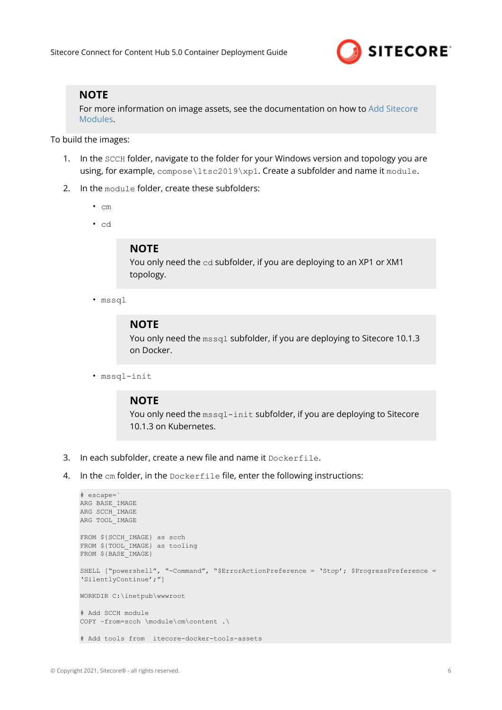

#### **NOTE**

For more information on image assets, see the documentation on how to [Add Sitecore](https://doc.sitecore.com/developers/102/developer-tools/en/add-sitecore-modules.html) [Modules](https://doc.sitecore.com/developers/102/developer-tools/en/add-sitecore-modules.html).

To build the images:

- 1. In the SCCH folder, navigate to the folder for your Windows version and topology you are using, for example, compose\ltsc2019\xp1. Create a subfolder and name it module.
- 2. In the module folder, create these subfolders:
	- cm
	- cd

#### **NOTE**

You only need the cd subfolder, if you are deploying to an XP1 or XM1 topology.

• mssql

#### **NOTE**

You only need the mssql subfolder, if you are deploying to Sitecore 10.1.3 on Docker.

• mssql-init

#### **NOTE**

You only need the  $msq1-int}$  subfolder, if you are deploying to Sitecore 10.1.3 on Kubernetes.

- 3. In each subfolder, create a new file and name it Dockerfile.
- 4. In the cm folder, in the Dockerfile file, enter the following instructions:

```
# escape=`
ARG BASE_IMAGE
ARG SCCH_IMAGE
ARG TOOL_IMAGE
FROM ${SCCH_IMAGE} as scch
FROM ${TOOL IMAGE} as tooling
FROM ${BASE_IMAGE}
SHELL ["powershell", "-Command", "$ErrorActionPreference = 'Stop'; $ProgressPreference = 
'SilentlyContinue';"]
WORKDIR C:\inetpub\wwwroot
# Add SCCH module
COPY –from=scch \module\cm\content .\
# Add tools from itecore-docker-tools-assets
```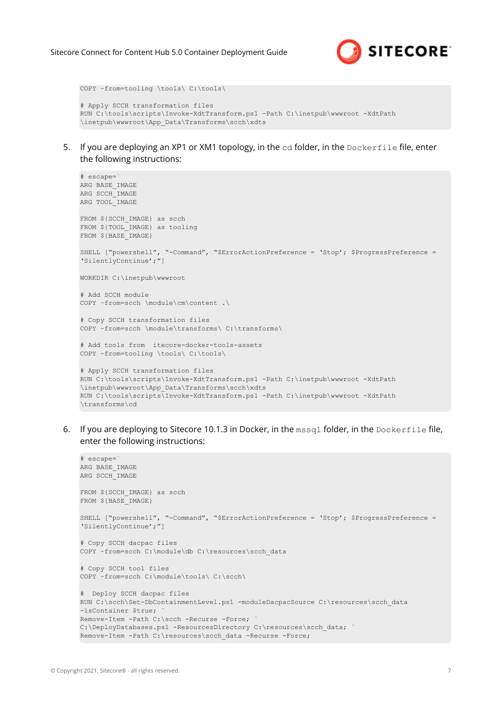

```
COPY –from=tooling \tools\ C:\tools\
# Apply SCCH transformation files
RUN C:\tools\scripts\Invoke-XdtTransform.ps1 -Path C:\inetpub\wwwroot -XdtPath 
\inetpub\wwwroot\App_Data\Transforms\scch\xdts
```
5. If you are deploying an XP1 or XM1 topology, in the cd folder, in the Dockerfile file, enter the following instructions:

```
# escape=`
ARG BASE_IMAGE
ARG SCCH_IMAGE
ARG TOOL_IMAGE
FROM ${SCCH_IMAGE} as scch
FROM ${TOOL IMAGE} as tooling
FROM ${BASE_IMAGE}
SHELL ["powershell", "-Command", "$ErrorActionPreference = 'Stop'; $ProgressPreference = 
'SilentlyContinue';"]
WORKDIR C:\inetpub\wwwroot
# Add SCCH module
COPY –from=scch \module\cm\content .\
# Copy SCCH transformation files
COPY –from=scch \module\transforms\ C:\transforms\
# Add tools from itecore-docker-tools-assets
COPY –from=tooling \tools\ C:\tools\
# Apply SCCH transformation files
RUN C:\tools\scripts\Invoke-XdtTransform.ps1 -Path C:\inetpub\wwwroot -XdtPath 
\inetpub\wwwroot\App_Data\Transforms\scch\xdts 
RUN C:\tools\scripts\Invoke-XdtTransform.ps1 -Path C:\inetpub\wwwroot -XdtPath
```

```
\transforms\cd
```
6. If you are deploying to Sitecore 10.1.3 in Docker, in the mssql folder, in the Dockerfile file, enter the following instructions:

```
# escape=`
ARG BASE_IMAGE
ARG SCCH_IMAGE
FROM ${SCCH_IMAGE} as scch
FROM ${BASE_IMAGE}
SHELL ["powershell", "-Command", "$ErrorActionPreference = 'Stop'; $ProgressPreference = 
'SilentlyContinue';"]
# Copy SCCH dacpac files
COPY -from=scch C:\module\db C:\resources\scch_data
# Copy SCCH tool files
COPY –from=scch C:\module\tools\ C:\scch\
# Deploy SCCH dacpac files
RUN C:\scch\Set-DbContainmentLevel.ps1 -moduleDacpacSource C:\resources\scch_data 
-isContainer $true;
Remove-Item -Path C:\scch -Recurse -Force;
C:\DeployDatabases.ps1 -ResourcesDirectory C:\resources\scch_data; `
Remove-Item -Path C:\resources\scch data -Recurse -Force;
```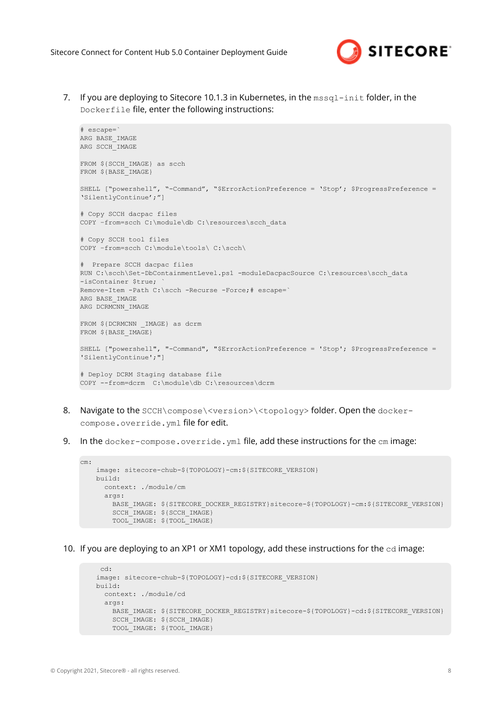

7. If you are deploying to Sitecore 10.1.3 in Kubernetes, in the mssql-init folder, in the Dockerfile file, enter the following instructions:

```
# escape=`
ARG BASE_IMAGE
ARG SCCH_IMAGE
FROM ${SCCH_IMAGE} as scch
FROM ${BASE_IMAGE}
SHELL ["powershell", "-Command", "$ErrorActionPreference = 'Stop'; $ProgressPreference = 
'SilentlyContinue';"]
# Copy SCCH dacpac files
COPY –from=scch C:\module\db C:\resources\scch_data
# Copy SCCH tool files
COPY –from=scch C:\module\tools\ C:\scch\
# Prepare SCCH dacpac files
RUN C:\scch\Set-DbContainmentLevel.ps1 -moduleDacpacSource C:\resources\scch_data
-isContainer $true;
Remove-Item -Path C:\scch -Recurse -Force;# escape=`
ARG BASE_IMAGE
ARG DCRMCNN_IMAGE
FROM ${DCRMCNN IMAGE} as dcrm
FROM ${BASE IMAGE}
SHELL ["powershell", "-Command", "$ErrorActionPreference = 'Stop'; $ProgressPreference = 
'SilentlyContinue';"]
# Deploy DCRM Staging database file
COPY --from=dcrm C:\module\db C:\resources\dcrm
```
- 8. Navigate to the SCCH\compose\<version>\<topology> folder. Open the dockercompose.override.yml file for edit.
- 9. In the docker-compose.override.yml file, add these instructions for the cm image:

```
cm:
    image: sitecore-chub-${TOPOLOGY}-cm:${SITECORE_VERSION}
    build:
      context: ./module/cm
     args:
       BASE IMAGE: ${SITECORE DOCKER REGISTRY}sitecore-${TOPOLOGY}-cm:${SITECORE VERSION}
       SCCH_IMAGE: ${SCCH_IMAGE}
        TOOL_IMAGE: ${TOOL_IMAGE}
```
10. If you are deploying to an XP1 or XM1 topology, add these instructions for the cd image:

```
 cd:
 image: sitecore-chub-${TOPOLOGY}-cd:${SITECORE_VERSION}
 build:
  context: ./module/cd
  args:
   BASE IMAGE: ${SITECORE DOCKER REGISTRY}sitecore-${TOPOLOGY}-cd:${SITECORE VERSION}
   SCCH_IMAGE: ${SCCH_IMAGE}
     TOOL_IMAGE: ${TOOL_IMAGE}
```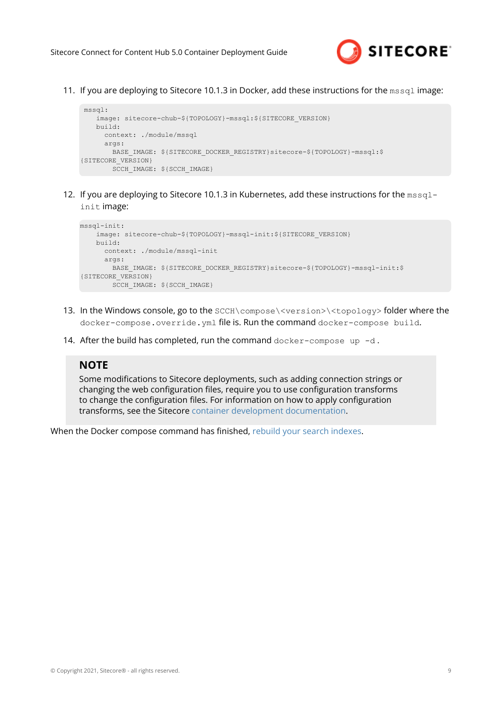

11. If you are deploying to Sitecore 10.1.3 in Docker, add these instructions for the mssq1 image:

```
 mssql:
    image: sitecore-chub-${TOPOLOGY}-mssql:${SITECORE_VERSION}
    build:
     context: ./module/mssql
    args:
      BASE IMAGE: ${SITECORE DOCKER REGISTRY}sitecore-${TOPOLOGY}-mssql:$
{SITECORE_VERSION}
      SCCH_IMAGE: ${SCCH_IMAGE}
```
12. If you are deploying to Sitecore 10.1.3 in Kubernetes, add these instructions for the mssq1init image:

```
mssql-init:
    image: sitecore-chub-${TOPOLOGY}-mssql-init:${SITECORE_VERSION}
    build:
      context: ./module/mssql-init
       args:
      BASE IMAGE: ${SITECORE DOCKER REGISTRY}sitecore-${TOPOLOGY}-mssql-init:$
{SITECORE_VERSION}
       SCCH_IMAGE: ${SCCH_IMAGE}
```
- 13. In the Windows console, go to the SCCH\compose\<version>\<topology> folder where the docker-compose.override.yml file is. Run the command docker-compose build.
- 14. After the build has completed, run the command  $\text{docker-compose up } -d$ .

#### **NOTE**

Some modifications to Sitecore deployments, such as adding connection strings or changing the web configuration files, require you to use configuration transforms to change the configuration files. For information on how to apply configuration transforms, see the Sitecore [container development documentation](https://doc.sitecore.com/developers/102/developer-tools/en/applying-configuration-transforms.html).

When the Docker compose command has finished, [rebuild your search indexes.](#page-12-0)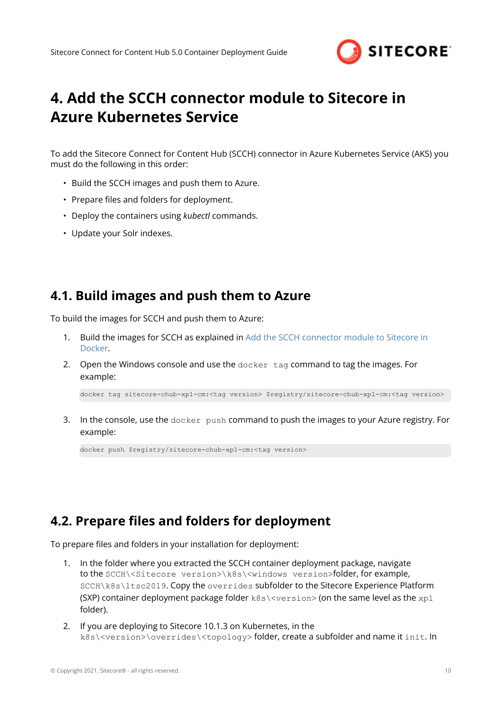

# <span id="page-9-0"></span>**4. Add the SCCH connector module to Sitecore in Azure Kubernetes Service**

To add the Sitecore Connect for Content Hub (SCCH) connector in Azure Kubernetes Service (AKS) you must do the following in this order:

- Build the SCCH images and push them to Azure.
- Prepare files and folders for deployment.
- Deploy the containers using *kubectl* commands.
- Update your Solr indexes.

## **4.1. Build images and push them to Azure**

To build the images for SCCH and push them to Azure:

- 1. Build the images for SCCH as explained in [Add the SCCH connector module to Sitecore in](#page-4-0) [Docker](#page-4-0).
- 2. Open the Windows console and use the docker tag command to tag the images. For example:

docker tag sitecore-chub-xp1-cm:<tag version> \$registry/sitecore-chub-xp1-cm:<tag version>

3. In the console, use the docker push command to push the images to your Azure registry. For example:

docker push \$registry/sitecore-chub-xp1-cm:<tag version>

## **4.2. Prepare files and folders for deployment**

To prepare files and folders in your installation for deployment:

- 1. In the folder where you extracted the SCCH container deployment package, navigate to the SCCH\<Sitecore version>\k8s\<windows version>folder, for example, SCCH\k8s\ltsc2019. Copy the overrides subfolder to the Sitecore Experience Platform (SXP) container deployment package folder  $k8s\&version$  (on the same level as the  $xp1$ folder).
- 2. If you are deploying to Sitecore 10.1.3 on Kubernetes, in the k8s\<version>\overrides\<topology> folder, create a subfolder and name it init. In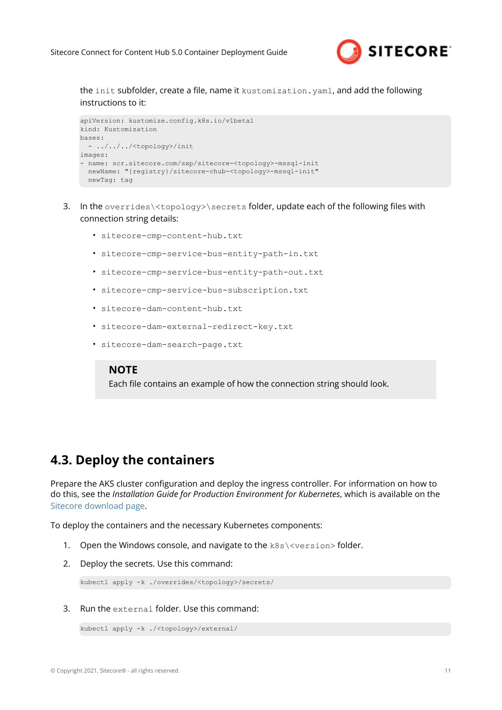

<span id="page-10-0"></span>the init subfolder, create a file, name it kustomization.yaml, and add the following instructions to it:

```
apiVersion: kustomize.config.k8s.io/v1beta1
kind: Kustomization
bases:
   - ../../../<topology>/init
images:
- name: scr.sitecore.com/sxp/sitecore-<topology>-mssql-init
  newName: "{registry}/sitecore-chub-<topology>-mssql-init"
  newTag: tag
```
- 3. In the overrides\<topology>\secrets folder, update each of the following files with connection string details:
	- sitecore-cmp-content-hub.txt
	- sitecore-cmp-service-bus-entity-path-in.txt
	- sitecore-cmp-service-bus-entity-path-out.txt
	- sitecore-cmp-service-bus-subscription.txt
	- sitecore-dam-content-hub.txt
	- sitecore-dam-external-redirect-key.txt
	- sitecore-dam-search-page.txt

#### **NOTE**

Each file contains an example of how the connection string should look.

### **4.3. Deploy the containers**

Prepare the AKS cluster configuration and deploy the ingress controller. For information on how to do this, see the *Installation Guide for Production Environment for Kubernetes*, which is available on the [Sitecore download page.](https://dev.sitecore.net/Downloads/Sitecore_Experience_Platform.aspx)

To deploy the containers and the necessary Kubernetes components:

- 1. Open the Windows console, and navigate to the k8s\<version> folder.
- 2. Deploy the secrets. Use this command:

kubectl apply -k ./overrides/<topology>/secrets/

3. Run the external folder. Use this command:

```
kubectl apply -k ./<topology>/external/
```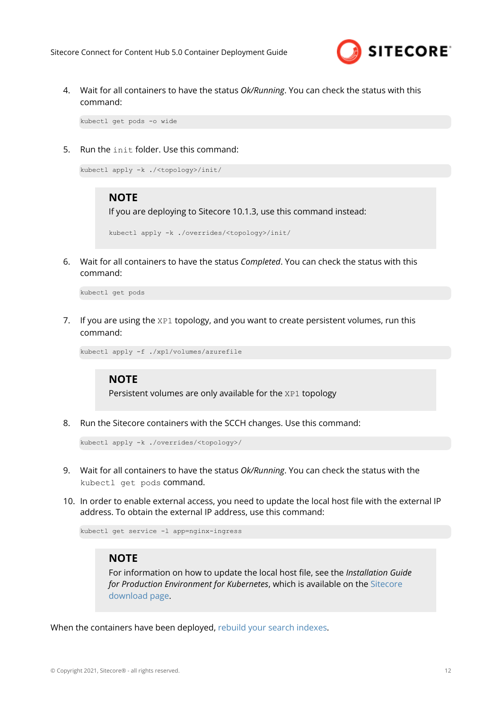

4. Wait for all containers to have the status *Ok/Running*. You can check the status with this command:

kubectl get pods -o wide

5. Run the init folder. Use this command:

```
kubectl apply -k ./<topology>/init/
```
#### **NOTE**

If you are deploying to Sitecore 10.1.3, use this command instead:

```
kubectl apply -k ./overrides/<topology>/init/
```
6. Wait for all containers to have the status *Completed*. You can check the status with this command:

kubectl get pods

7. If you are using the XP1 topology, and you want to create persistent volumes, run this command:

kubectl apply -f ./xp1/volumes/azurefile

### **NOTE**

Persistent volumes are only available for the XP1 topology

8. Run the Sitecore containers with the SCCH changes. Use this command:

```
kubectl apply -k ./overrides/<topology>/
```
- 9. Wait for all containers to have the status *Ok/Running*. You can check the status with the kubectl get pods command.
- 10. In order to enable external access, you need to update the local host file with the external IP address. To obtain the external IP address, use this command:

kubectl get service -l app=nginx-ingress

### **NOTE**

For information on how to update the local host file, see the *Installation Guide for Production Environment for Kubernetes*, which is available on the [Sitecore](https://dev.sitecore.net/Downloads/Sitecore_Experience_Platform.aspx) [download page.](https://dev.sitecore.net/Downloads/Sitecore_Experience_Platform.aspx)

When the containers have been deployed, [rebuild your search indexes.](#page-12-0)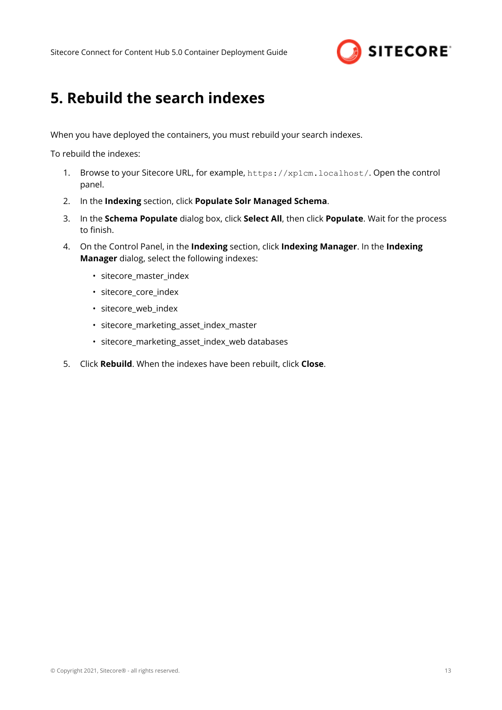

# <span id="page-12-0"></span>**5. Rebuild the search indexes**

When you have deployed the containers, you must rebuild your search indexes.

To rebuild the indexes:

- 1. Browse to your Sitecore URL, for example, https://xp1cm.localhost/. Open the control panel.
- 2. In the **Indexing** section, click **Populate Solr Managed Schema**.
- 3. In the **Schema Populate** dialog box, click **Select All**, then click **Populate**. Wait for the process to finish.
- 4. On the Control Panel, in the **Indexing** section, click **Indexing Manager**. In the **Indexing Manager** dialog, select the following indexes:
	- sitecore\_master\_index
	- sitecore\_core\_index
	- sitecore\_web\_index
	- sitecore\_marketing\_asset\_index\_master
	- sitecore\_marketing\_asset\_index\_web databases
- 5. Click **Rebuild**. When the indexes have been rebuilt, click **Close**.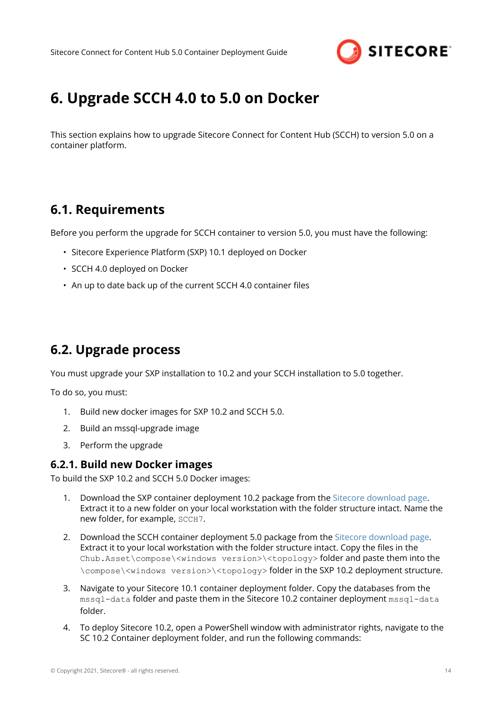

# <span id="page-13-0"></span>**6. Upgrade SCCH 4.0 to 5.0 on Docker**

This section explains how to upgrade Sitecore Connect for Content Hub (SCCH) to version 5.0 on a container platform.

### **6.1. Requirements**

Before you perform the upgrade for SCCH container to version 5.0, you must have the following:

- Sitecore Experience Platform (SXP) 10.1 deployed on Docker
- SCCH 4.0 deployed on Docker
- An up to date back up of the current SCCH 4.0 container files

## **6.2. Upgrade process**

You must upgrade your SXP installation to 10.2 and your SCCH installation to 5.0 together.

To do so, you must:

- 1. Build new docker images for SXP 10.2 and SCCH 5.0.
- 2. Build an mssql-upgrade image
- 3. Perform the upgrade

#### **6.2.1. Build new Docker images**

To build the SXP 10.2 and SCCH 5.0 Docker images:

- 1. Download the SXP container deployment 10.2 package from the [Sitecore download page.](https://dev.sitecore.net/Downloads/Sitecore_Experience_Platform.aspx) Extract it to a new folder on your local workstation with the folder structure intact. Name the new folder, for example, SCCH7.
- 2. Download the SCCH container deployment 5.0 package from the [Sitecore download page](https://dev.sitecore.net/Downloads/Sitecore_Connect_for_Content_Hub.aspx). Extract it to your local workstation with the folder structure intact. Copy the files in the Chub.Asset\compose\<windows version>\<topology> folder and paste them into the \compose\<windows version>\<topology> folder in the SXP 10.2 deployment structure.
- 3. Navigate to your Sitecore 10.1 container deployment folder. Copy the databases from the mssql-data folder and paste them in the Sitecore 10.2 container deployment mssql-data folder.
- 4. To deploy Sitecore 10.2, open a PowerShell window with administrator rights, navigate to the SC 10.2 Container deployment folder, and run the following commands: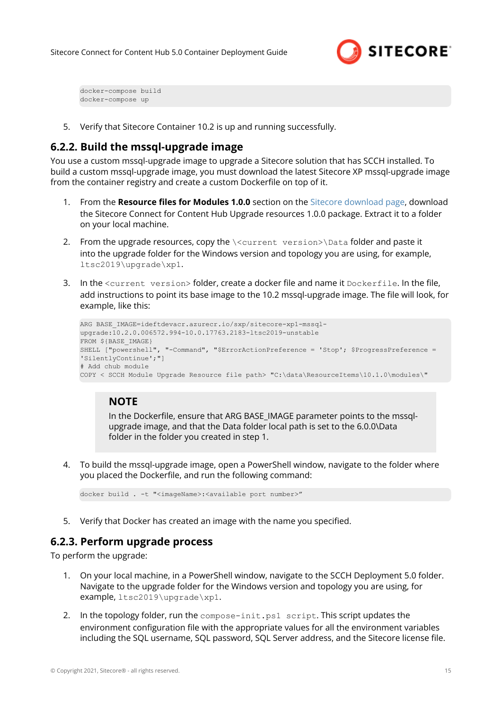

<span id="page-14-0"></span>docker-compose build docker-compose up

5. Verify that Sitecore Container 10.2 is up and running successfully.

### **6.2.2. Build the mssql-upgrade image**

You use a custom mssql-upgrade image to upgrade a Sitecore solution that has SCCH installed. To build a custom mssql-upgrade image, you must download the latest Sitecore XP mssql-upgrade image from the container registry and create a custom Dockerfile on top of it.

- 1. From the **Resource files for Modules 1.0.0** section on the [Sitecore download page](https://dev.sitecore.net/Downloads/Resource_files_for_Modules.aspx), download the Sitecore Connect for Content Hub Upgrade resources 1.0.0 package. Extract it to a folder on your local machine.
- 2. From the upgrade resources, copy the *\<current version>\Data folder and paste it* into the upgrade folder for the Windows version and topology you are using, for example, ltsc2019\upgrade\xp1.
- 3. In the <current version> folder, create a docker file and name it Dockerfile. In the file, add instructions to point its base image to the 10.2 mssql-upgrade image. The file will look, for example, like this:

```
ARG BASE IMAGE=ideftdevacr.azurecr.io/sxp/sitecore-xp1-mssql-
upgrade:10.2.0.006572.994-10.0.17763.2183-ltsc2019-unstable
FROM ${BASE IMAGE}
SHELL ["powershell", "-Command", "$ErrorActionPreference = 'Stop'; $ProgressPreference = 
'SilentlyContinue';"]
# Add chub module
COPY < SCCH Module Upgrade Resource file path> "C:\data\ResourceItems\10.1.0\modules\"
```
### **NOTE**

In the Dockerfile, ensure that ARG BASE\_IMAGE parameter points to the mssqlupgrade image, and that the Data folder local path is set to the 6.0.0\Data folder in the folder you created in step 1.

4. To build the mssql-upgrade image, open a PowerShell window, navigate to the folder where you placed the Dockerfile, and run the following command:

docker build . -t "<imageName>:<available port number>"

5. Verify that Docker has created an image with the name you specified.

### **6.2.3. Perform upgrade process**

To perform the upgrade:

- 1. On your local machine, in a PowerShell window, navigate to the SCCH Deployment 5.0 folder. Navigate to the upgrade folder for the Windows version and topology you are using, for example, ltsc2019\upgrade\xp1.
- 2. In the topology folder, run the compose-init.ps1 script. This script updates the environment configuration file with the appropriate values for all the environment variables including the SQL username, SQL password, SQL Server address, and the Sitecore license file.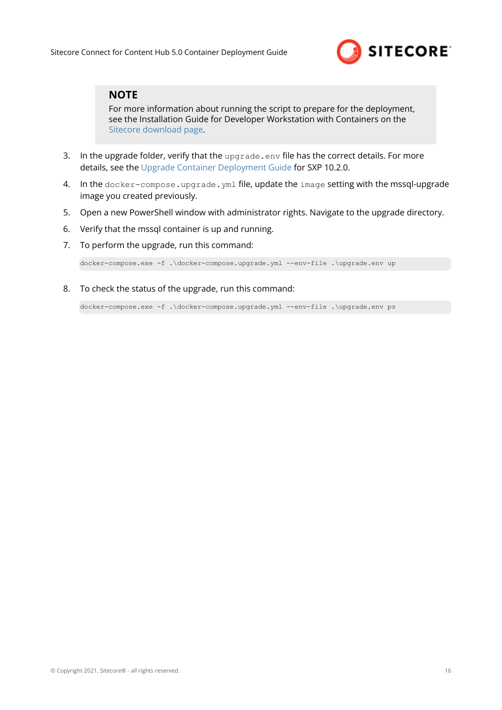

### **NOTE**

For more information about running the script to prepare for the deployment, see the Installation Guide for Developer Workstation with Containers on the [Sitecore download page.](https://dev.sitecore.net/Downloads/Sitecore_Experience_Platform.aspx)

- 3. In the upgrade folder, verify that the upgrade.env file has the correct details. For more details, see the [Upgrade Container Deployment Guide](https://dev.sitecore.net/Downloads/Sitecore_Experience_Platform.aspx) for SXP 10.2.0.
- 4. In the docker-compose.upgrade.yml file, update the image setting with the mssql-upgrade image you created previously.
- 5. Open a new PowerShell window with administrator rights. Navigate to the upgrade directory.
- 6. Verify that the mssql container is up and running.
- 7. To perform the upgrade, run this command:

docker-compose.exe -f .\docker-compose.upgrade.yml --env-file .\upgrade.env up

8. To check the status of the upgrade, run this command:

docker-compose.exe -f .\docker-compose.upgrade.yml --env-file .\upgrade.env ps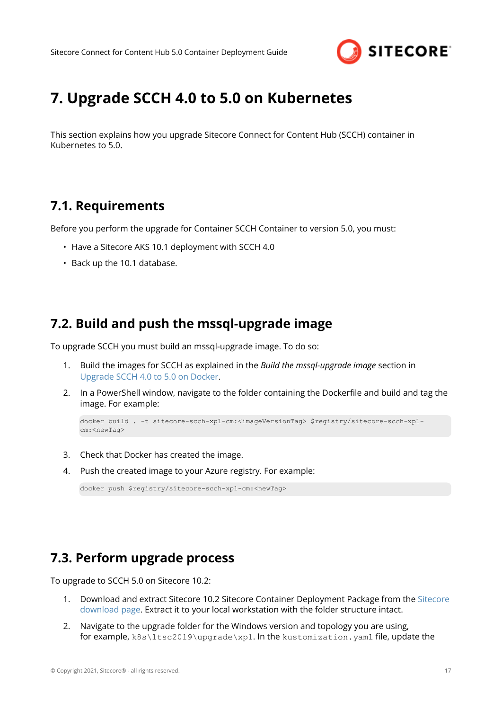

# <span id="page-16-0"></span>**7. Upgrade SCCH 4.0 to 5.0 on Kubernetes**

This section explains how you upgrade Sitecore Connect for Content Hub (SCCH) container in Kubernetes to 5.0.

## **7.1. Requirements**

Before you perform the upgrade for Container SCCH Container to version 5.0, you must:

- Have a Sitecore AKS 10.1 deployment with SCCH 4.0
- Back up the 10.1 database.

## **7.2. Build and push the mssql-upgrade image**

To upgrade SCCH you must build an mssql-upgrade image. To do so:

- 1. Build the images for SCCH as explained in the *Build the mssql-upgrade image* section in [Upgrade SCCH 4.0 to 5.0 on Docker](#page-13-0).
- 2. In a PowerShell window, navigate to the folder containing the Dockerfile and build and tag the image. For example:

```
docker build . -t sitecore-scch-xp1-cm:<imageVersionTag> $registry/sitecore-scch-xp1-
cm:<newTag>
```
- 3. Check that Docker has created the image.
- 4. Push the created image to your Azure registry. For example:

docker push \$registry/sitecore-scch-xp1-cm:<newTag>

## **7.3. Perform upgrade process**

To upgrade to SCCH 5.0 on Sitecore 10.2:

- 1. Download and extract Sitecore 10.2 Sitecore Container Deployment Package from the [Sitecore](https://dev.sitecore.net/Downloads/Sitecore_Experience_Platform.aspx) [download page.](https://dev.sitecore.net/Downloads/Sitecore_Experience_Platform.aspx) Extract it to your local workstation with the folder structure intact.
- 2. Navigate to the upgrade folder for the Windows version and topology you are using, for example, k8s\ltsc2019\upgrade\xp1. In the kustomization.yaml file, update the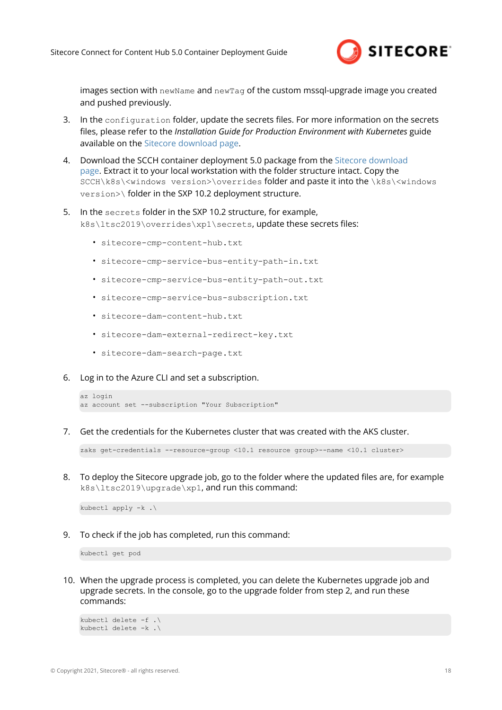

images section with newName and newTag of the custom mssql-upgrade image you created and pushed previously.

- 3. In the configuration folder, update the secrets files. For more information on the secrets files, please refer to the *Installation Guide for Production Environment with Kubernetes* guide available on the [Sitecore download page](https://dev.sitecore.net/Downloads/Sitecore_Experience_Platform.aspx).
- 4. Download the SCCH container deployment 5.0 package from the [Sitecore download](https://dev.sitecore.net/Downloads/Dynamics_CRM_Connect.aspx) [page.](https://dev.sitecore.net/Downloads/Dynamics_CRM_Connect.aspx) Extract it to your local workstation with the folder structure intact. Copy the SCCH\k8s\<windows version>\overrides folder and paste it into the \k8s\<windows version>\ folder in the SXP 10.2 deployment structure.
- 5. In the secrets folder in the SXP 10.2 structure, for example, k8s\ltsc2019\overrides\xp1\secrets, update these secrets files:
	- sitecore-cmp-content-hub.txt
	- sitecore-cmp-service-bus-entity-path-in.txt
	- sitecore-cmp-service-bus-entity-path-out.txt
	- sitecore-cmp-service-bus-subscription.txt
	- sitecore-dam-content-hub.txt
	- sitecore-dam-external-redirect-key.txt
	- sitecore-dam-search-page.txt
- 6. Log in to the Azure CLI and set a subscription.

```
az login
az account set --subscription "Your Subscription"
```
7. Get the credentials for the Kubernetes cluster that was created with the AKS cluster.

zaks get-credentials --resource-group <10.1 resource group>--name <10.1 cluster>

8. To deploy the Sitecore upgrade job, go to the folder where the updated files are, for example k8s\ltsc2019\upgrade\xp1, and run this command:

kubectl apply  $-k \cdot \$ 

9. To check if the job has completed, run this command:

kubectl get pod

10. When the upgrade process is completed, you can delete the Kubernetes upgrade job and upgrade secrets. In the console, go to the upgrade folder from step 2, and run these commands:

```
kubectl delete -f .\
kubectl delete -k .\
```